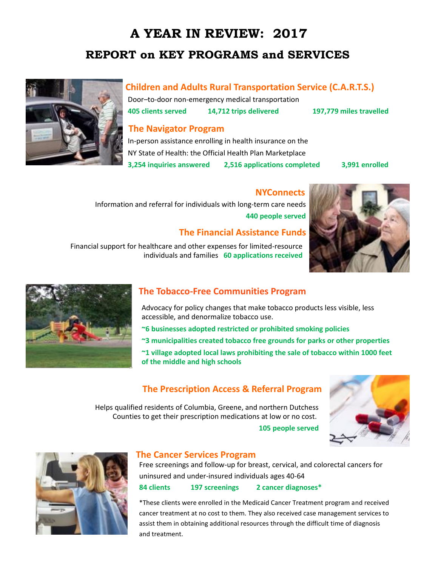# **A YEAR IN REVIEW: 2017 REPORT on KEY PROGRAMS and SERVICES**



Door–to-door non-emergency medical transportation **405 clients served 14,712 trips delivered 197,779 miles travelled**

### **The Navigator Program**

In-person assistance enrolling in health insurance on the NY State of Health: the Official Health Plan Marketplace **3,254 inquiries answered 2,516 applications completed 3,991 enrolled**

### **NYConnects**

 Information and referral for individuals with long-term care needs **440 people served**

### **The Financial Assistance Funds**

Financial support for healthcare and other expenses for limited-resource individuals and families **60 applications received** 





## **The Tobacco-Free Communities Program**

Advocacy for policy changes that make tobacco products less visible, less accessible, and denormalize tobacco use.

- **~6 businesses adopted restricted or prohibited smoking policies**
- **~3 municipalities created tobacco free grounds for parks or other properties**
- **~1 village adopted local laws prohibiting the sale of tobacco within 1000 feet of the middle and high schools**

## **The Prescription Access & Referral Program**

Helps qualified residents of Columbia, Greene, and northern Dutchess Counties to get their prescription medications at low or no cost.

**105 people served**





### **The Cancer Services Program**

Free screenings and follow-up for breast, cervical, and colorectal cancers for uninsured and under-insured individuals ages 40-64 **84 clients 197 screenings 2 cancer diagnoses\*** 

\*These clients were enrolled in the Medicaid Cancer Treatment program and received cancer treatment at no cost to them. They also received case management services to assist them in obtaining additional resources through the difficult time of diagnosis and treatment.